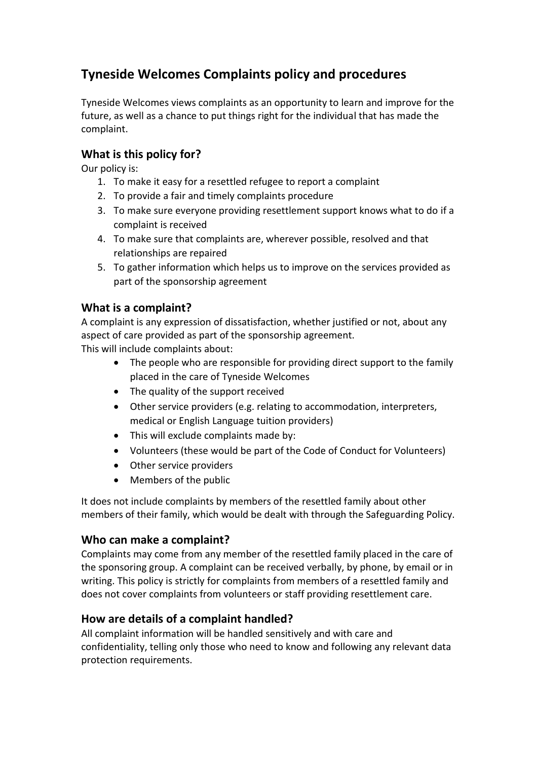## **Tyneside Welcomes Complaints policy and procedures**

Tyneside Welcomes views complaints as an opportunity to learn and improve for the future, as well as a chance to put things right for the individual that has made the complaint.

## **What is this policy for?**

Our policy is:

- 1. To make it easy for a resettled refugee to report a complaint
- 2. To provide a fair and timely complaints procedure
- 3. To make sure everyone providing resettlement support knows what to do if a complaint is received
- 4. To make sure that complaints are, wherever possible, resolved and that relationships are repaired
- 5. To gather information which helps us to improve on the services provided as part of the sponsorship agreement

### **What is a complaint?**

A complaint is any expression of dissatisfaction, whether justified or not, about any aspect of care provided as part of the sponsorship agreement. This will include complaints about:

- The people who are responsible for providing direct support to the family placed in the care of Tyneside Welcomes
- The quality of the support received
- Other service providers (e.g. relating to accommodation, interpreters, medical or English Language tuition providers)
- This will exclude complaints made by:
- Volunteers (these would be part of the Code of Conduct for Volunteers)
- Other service providers
- Members of the public

It does not include complaints by members of the resettled family about other members of their family, which would be dealt with through the Safeguarding Policy.

#### **Who can make a complaint?**

Complaints may come from any member of the resettled family placed in the care of the sponsoring group. A complaint can be received verbally, by phone, by email or in writing. This policy is strictly for complaints from members of a resettled family and does not cover complaints from volunteers or staff providing resettlement care.

#### **How are details of a complaint handled?**

All complaint information will be handled sensitively and with care and confidentiality, telling only those who need to know and following any relevant data protection requirements.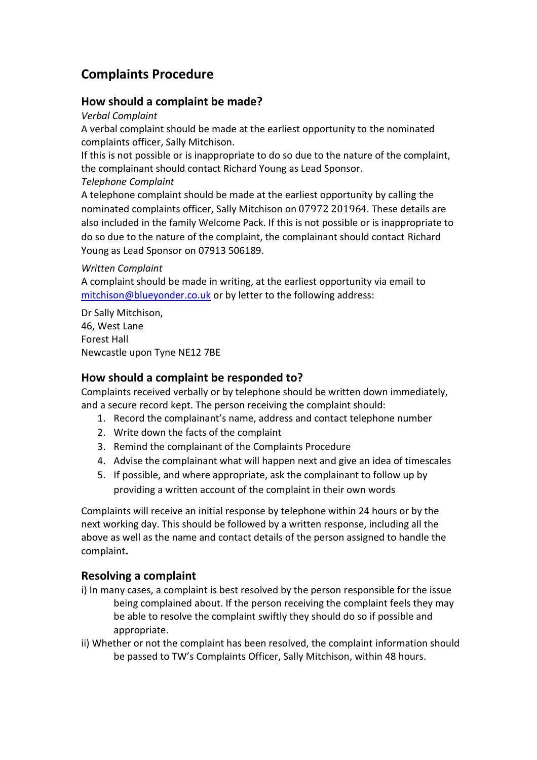# **Complaints Procedure**

### **How should a complaint be made?**

*Verbal Complaint* 

A verbal complaint should be made at the earliest opportunity to the nominated complaints officer, Sally Mitchison.

If this is not possible or is inappropriate to do so due to the nature of the complaint, the complainant should contact Richard Young as Lead Sponsor.

*Telephone Complaint* 

A telephone complaint should be made at the earliest opportunity by calling the nominated complaints officer, Sally Mitchison on 07972 201964. These details are also included in the family Welcome Pack. If this is not possible or is inappropriate to do so due to the nature of the complaint, the complainant should contact Richard Young as Lead Sponsor on 07913 506189.

#### *Written Complaint*

A complaint should be made in writing, at the earliest opportunity via email to [mitchison@blueyonder.co.uk](about:blank) or by letter to the following address:

Dr Sally Mitchison, 46, West Lane Forest Hall Newcastle upon Tyne NE12 7BE

#### **How should a complaint be responded to?**

Complaints received verbally or by telephone should be written down immediately, and a secure record kept. The person receiving the complaint should:

- 1. Record the complainant's name, address and contact telephone number
- 2. Write down the facts of the complaint
- 3. Remind the complainant of the Complaints Procedure
- 4. Advise the complainant what will happen next and give an idea of timescales
- 5. If possible, and where appropriate, ask the complainant to follow up by providing a written account of the complaint in their own words

Complaints will receive an initial response by telephone within 24 hours or by the next working day. This should be followed by a written response, including all the above as well as the name and contact details of the person assigned to handle the complaint**.**

#### **Resolving a complaint**

- i) In many cases, a complaint is best resolved by the person responsible for the issue being complained about. If the person receiving the complaint feels they may be able to resolve the complaint swiftly they should do so if possible and appropriate.
- ii) Whether or not the complaint has been resolved, the complaint information should be passed to TW's Complaints Officer, Sally Mitchison, within 48 hours.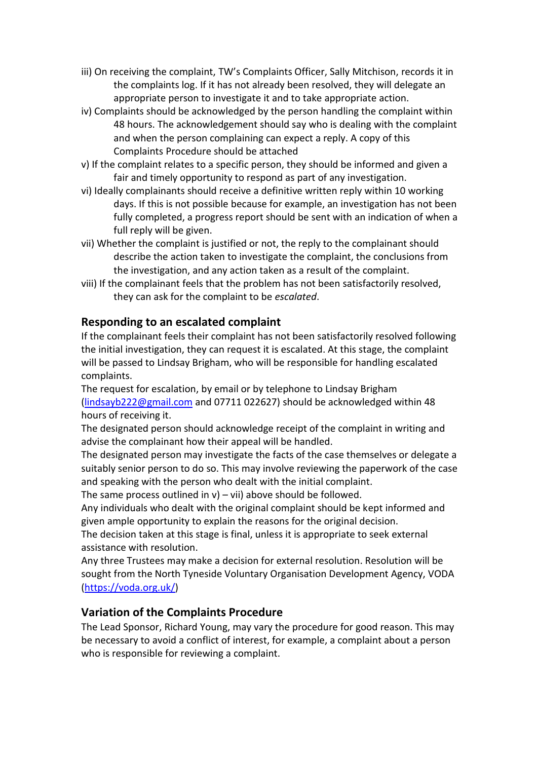- iii) On receiving the complaint, TW's Complaints Officer, Sally Mitchison, records it in the complaints log. If it has not already been resolved, they will delegate an appropriate person to investigate it and to take appropriate action.
- iv) Complaints should be acknowledged by the person handling the complaint within 48 hours. The acknowledgement should say who is dealing with the complaint and when the person complaining can expect a reply. A copy of this Complaints Procedure should be attached
- v) If the complaint relates to a specific person, they should be informed and given a fair and timely opportunity to respond as part of any investigation.
- vi) Ideally complainants should receive a definitive written reply within 10 working days. If this is not possible because for example, an investigation has not been fully completed, a progress report should be sent with an indication of when a full reply will be given.
- vii) Whether the complaint is justified or not, the reply to the complainant should describe the action taken to investigate the complaint, the conclusions from the investigation, and any action taken as a result of the complaint.
- viii) If the complainant feels that the problem has not been satisfactorily resolved, they can ask for the complaint to be *escalated*.

## **Responding to an escalated complaint**

If the complainant feels their complaint has not been satisfactorily resolved following the initial investigation, they can request it is escalated. At this stage, the complaint will be passed to Lindsay Brigham, who will be responsible for handling escalated complaints.

The request for escalation, by email or by telephone to Lindsay Brigham [\(lindsayb222@gmail.com](about:blank) and 07711 022627) should be acknowledged within 48 hours of receiving it.

The designated person should acknowledge receipt of the complaint in writing and advise the complainant how their appeal will be handled.

The designated person may investigate the facts of the case themselves or delegate a suitably senior person to do so. This may involve reviewing the paperwork of the case and speaking with the person who dealt with the initial complaint.

The same process outlined in  $v$ ) – vii) above should be followed.

Any individuals who dealt with the original complaint should be kept informed and given ample opportunity to explain the reasons for the original decision.

The decision taken at this stage is final, unless it is appropriate to seek external assistance with resolution.

Any three Trustees may make a decision for external resolution. Resolution will be sought from the North Tyneside Voluntary Organisation Development Agency, VODA [\(https://voda.org.uk/\)](about:blank)

#### **Variation of the Complaints Procedure**

The Lead Sponsor, Richard Young, may vary the procedure for good reason. This may be necessary to avoid a conflict of interest, for example, a complaint about a person who is responsible for reviewing a complaint.